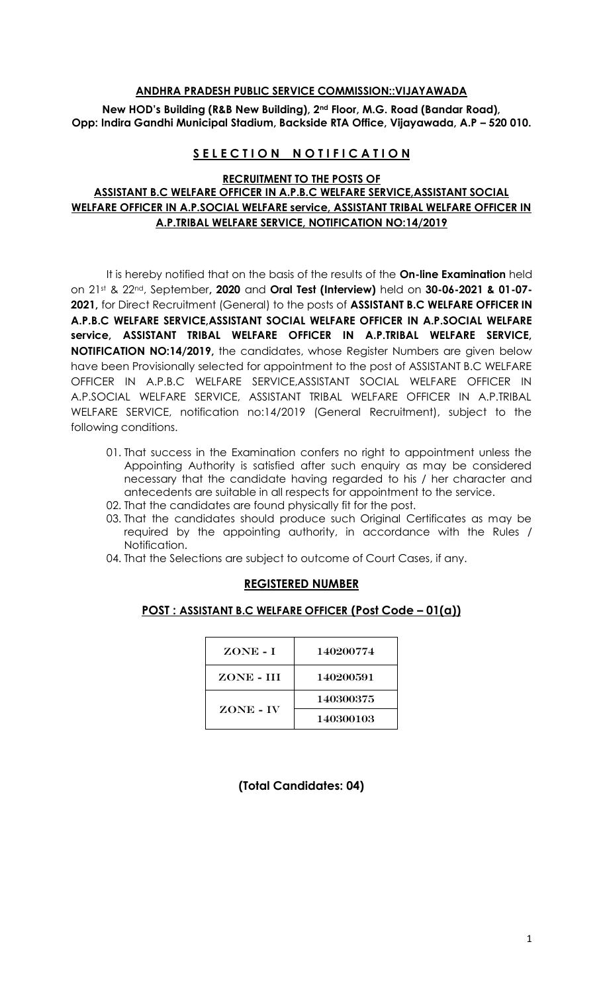#### **ANDHRA PRADESH PUBLIC SERVICE COMMISSION::VIJAYAWADA**

**New HOD's Building (R&B New Building), 2nd Floor, M.G. Road (Bandar Road), Opp: Indira Gandhi Municipal Stadium, Backside RTA Office, Vijayawada, A.P – 520 010.** 

# **SELECTION NOTIFICATION**

#### **RECRUITMENT TO THE POSTS OF ASSISTANT B.C WELFARE OFFICER IN A.P.B.C WELFARE SERVICE,ASSISTANT SOCIAL WELFARE OFFICER IN A.P.SOCIAL WELFARE service, ASSISTANT TRIBAL WELFARE OFFICER IN A.P.TRIBAL WELFARE SERVICE, NOTIFICATION NO:14/2019**

It is hereby notified that on the basis of the results of the **On-line Examination** held on 21 st & 22nd, September**, 2020** and **Oral Test (Interview)** held on **30-06-2021 & 01-07- 2021,** for Direct Recruitment (General) to the posts of **ASSISTANT B.C WELFARE OFFICER IN A.P.B.C WELFARE SERVICE,ASSISTANT SOCIAL WELFARE OFFICER IN A.P.SOCIAL WELFARE service, ASSISTANT TRIBAL WELFARE OFFICER IN A.P.TRIBAL WELFARE SERVICE, NOTIFICATION NO:14/2019,** the candidates, whose Register Numbers are given below have been Provisionally selected for appointment to the post of ASSISTANT B.C WELFARE OFFICER IN A.P.B.C WELFARE SERVICE,ASSISTANT SOCIAL WELFARE OFFICER IN A.P.SOCIAL WELFARE SERVICE, ASSISTANT TRIBAL WELFARE OFFICER IN A.P.TRIBAL WELFARE SERVICE, notification no:14/2019 (General Recruitment), subject to the following conditions.

- 01. That success in the Examination confers no right to appointment unless the Appointing Authority is satisfied after such enquiry as may be considered necessary that the candidate having regarded to his / her character and antecedents are suitable in all respects for appointment to the service.
- 02. That the candidates are found physically fit for the post.
- 03. That the candidates should produce such Original Certificates as may be required by the appointing authority, in accordance with the Rules / Notification.
- 04. That the Selections are subject to outcome of Court Cases, if any.

# **REGISTERED NUMBER**

### **POST : ASSISTANT B.C WELFARE OFFICER (Post Code – 01(a))**

| ZONE - I  | 140200774 |
|-----------|-----------|
| ZONE - HI | 140200591 |
| ZONE - IV | 140300375 |
|           | 140300103 |

**(Total Candidates: 04)**